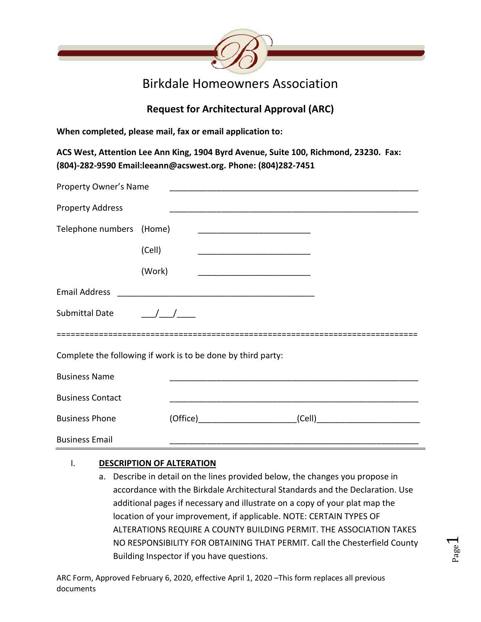

# Birkdale Homeowners Association

## **Request for Architectural Approval (ARC)**

**When completed, please mail, fax or email application to:**

**ACS West, Attention Lee Ann King, 1904 Byrd Avenue, Suite 100, Richmond, 23230. Fax: (804)-282-9590 Email:leeann@acswest.org. Phone: (804)282-7451**

| Property Owner's Name    |               |                                                                   |  |
|--------------------------|---------------|-------------------------------------------------------------------|--|
| <b>Property Address</b>  |               |                                                                   |  |
| Telephone numbers (Home) |               | <u> 1989 - Johann John Stone, mars eta biztanleria (h. 1982).</u> |  |
|                          | (Cell)        |                                                                   |  |
|                          | (Work)        |                                                                   |  |
| <b>Email Address</b>     |               |                                                                   |  |
| <b>Submittal Date</b>    | $\frac{1}{2}$ |                                                                   |  |
|                          |               | Complete the following if work is to be done by third party:      |  |
| <b>Business Name</b>     |               |                                                                   |  |
| <b>Business Contact</b>  |               |                                                                   |  |
| <b>Business Phone</b>    |               |                                                                   |  |
| <b>Business Email</b>    |               |                                                                   |  |

#### I. **DESCRIPTION OF ALTERATION**

a. Describe in detail on the lines provided below, the changes you propose in accordance with the Birkdale Architectural Standards and the Declaration. Use additional pages if necessary and illustrate on a copy of your plat map the location of your improvement, if applicable. NOTE: CERTAIN TYPES OF ALTERATIONS REQUIRE A COUNTY BUILDING PERMIT. THE ASSOCIATION TAKES NO RESPONSIBILITY FOR OBTAINING THAT PERMIT. Call the Chesterfield County Building Inspector if you have questions.

Page  $\overline{\phantom{0}}$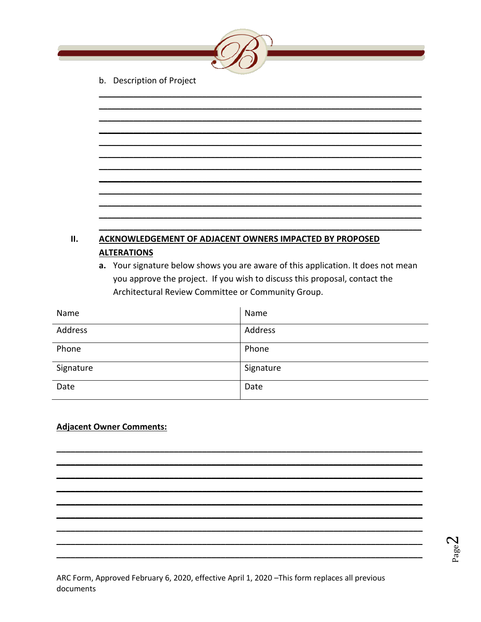|           | b. Description of Project                          |                                                                                                                                                                 |
|-----------|----------------------------------------------------|-----------------------------------------------------------------------------------------------------------------------------------------------------------------|
|           |                                                    |                                                                                                                                                                 |
|           |                                                    |                                                                                                                                                                 |
|           |                                                    |                                                                                                                                                                 |
|           |                                                    |                                                                                                                                                                 |
|           |                                                    |                                                                                                                                                                 |
| II.       |                                                    | ACKNOWLEDGEMENT OF ADJACENT OWNERS IMPACTED BY PROPOSED                                                                                                         |
|           | <b>ALTERATIONS</b>                                 |                                                                                                                                                                 |
|           |                                                    | a. Your signature below shows you are aware of this application. It does not mean<br>you approve the project. If you wish to discuss this proposal, contact the |
|           | Architectural Review Committee or Community Group. |                                                                                                                                                                 |
| Name      |                                                    | Name                                                                                                                                                            |
| Address   |                                                    | Address                                                                                                                                                         |
| Phone     |                                                    | Phone                                                                                                                                                           |
| Signature |                                                    | Signature                                                                                                                                                       |
| Date      |                                                    | Date                                                                                                                                                            |

#### **Adjacent Owner Comments:**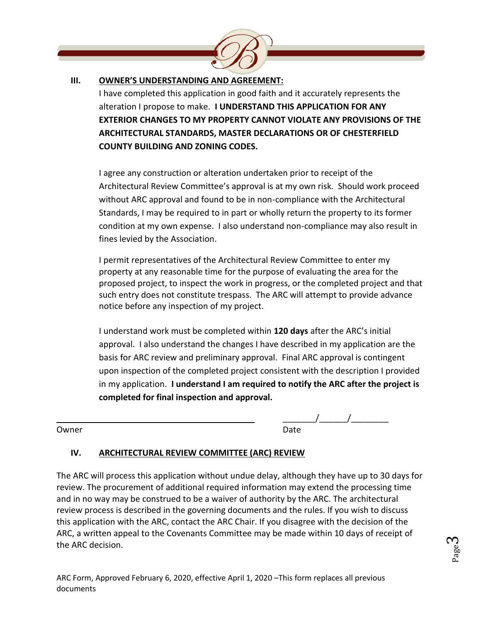

#### **III. OWNER'S UNDERSTANDING AND AGREEMENT:**

I have completed this application in good faith and it accurately represents the alteration I propose to make. **I UNDERSTAND THIS APPLICATION FOR ANY EXTERIOR CHANGES TO MY PROPERTY CANNOT VIOLATE ANY PROVISIONS OF THE ARCHITECTURAL STANDARDS, MASTER DECLARATIONS OR OF CHESTERFIELD COUNTY BUILDING AND ZONING CODES.**

I agree any construction or alteration undertaken prior to receipt of the Architectural Review Committee's approval is at my own risk. Should work proceed without ARC approval and found to be in non-compliance with the Architectural Standards, I may be required to in part or wholly return the property to its former condition at my own expense. I also understand non-compliance may also result in fines levied by the Association.

I permit representatives of the Architectural Review Committee to enter my property at any reasonable time for the purpose of evaluating the area for the proposed project, to inspect the work in progress, or the completed project and that such entry does not constitute trespass. The ARC will attempt to provide advance notice before any inspection of my project.

I understand work must be completed within **120 days** after the ARC's initial approval. I also understand the changes I have described in my application are the basis for ARC review and preliminary approval. Final ARC approval is contingent upon inspection of the completed project consistent with the description I provided in my application. **I understand I am required to notify the ARC after the project is completed for final inspection and approval.**

Owner **Date** 

\_\_\_\_\_\_\_/\_\_\_\_\_\_/\_\_\_\_\_\_\_\_

### **IV. ARCHITECTURAL REVIEW COMMITTEE (ARC) REVIEW**

The ARC will process this application without undue delay, although they have up to 30 days for review. The procurement of additional required information may extend the processing time and in no way may be construed to be a waiver of authority by the ARC. The architectural review process is described in the governing documents and the rules. If you wish to discuss this application with the ARC, contact the ARC Chair. If you disagree with the decision of the ARC, a written appeal to the Covenants Committee may be made within 10 days of receipt of the ARC decision.

Page ო